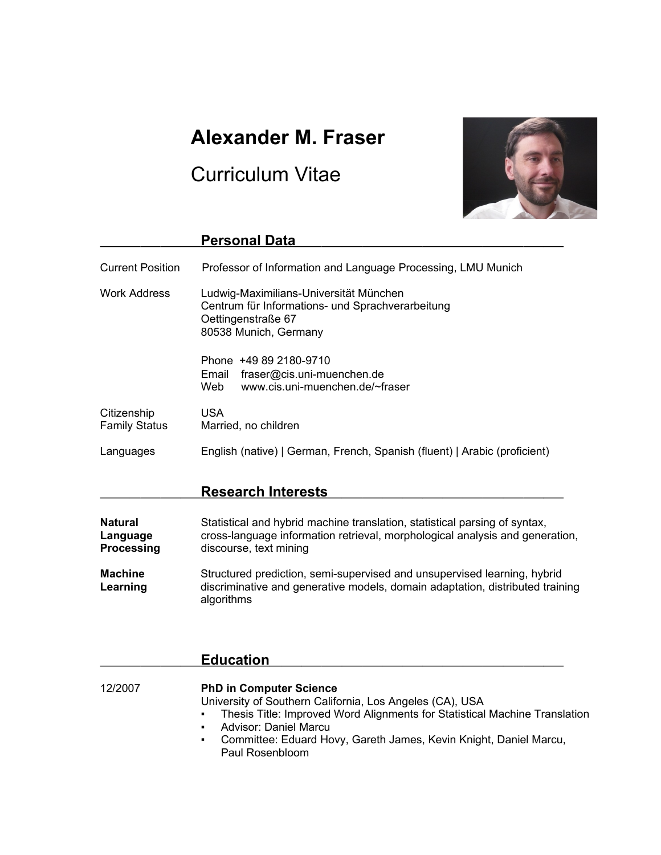# **Alexander M. Fraser**

# Curriculum Vitae



|                                     | <b>Personal Data</b>                                                                                                                      |
|-------------------------------------|-------------------------------------------------------------------------------------------------------------------------------------------|
| <b>Current Position</b>             | Professor of Information and Language Processing, LMU Munich                                                                              |
| <b>Work Address</b>                 | Ludwig-Maximilians-Universität München<br>Centrum für Informations- und Sprachverarbeitung<br>Oettingenstraße 67<br>80538 Munich, Germany |
|                                     | Phone +49 89 2180-9710<br>fraser@cis.uni-muenchen.de<br>Email<br>www.cis.uni-muenchen.de/~fraser<br>Web                                   |
| Citizenship<br><b>Family Status</b> | <b>USA</b><br>Married, no children                                                                                                        |
| Languages                           | English (native)   German, French, Spanish (fluent)   Arabic (proficient)                                                                 |
|                                     | <b>Research Interests</b>                                                                                                                 |

| <b>Natural</b>             | Statistical and hybrid machine translation, statistical parsing of syntax,                                                                                              |
|----------------------------|-------------------------------------------------------------------------------------------------------------------------------------------------------------------------|
| Language                   | cross-language information retrieval, morphological analysis and generation,                                                                                            |
| <b>Processing</b>          | discourse, text mining                                                                                                                                                  |
| <b>Machine</b><br>Learning | Structured prediction, semi-supervised and unsupervised learning, hybrid<br>discriminative and generative models, domain adaptation, distributed training<br>algorithms |

|         | <b>Education</b>                                                                                                                                                                                                                                                                                                                                         |
|---------|----------------------------------------------------------------------------------------------------------------------------------------------------------------------------------------------------------------------------------------------------------------------------------------------------------------------------------------------------------|
| 12/2007 | <b>PhD in Computer Science</b><br>University of Southern California, Los Angeles (CA), USA<br>Thesis Title: Improved Word Alignments for Statistical Machine Translation<br>$\mathbf{H}^{\prime}$ .<br>Advisor: Daniel Marcu<br>$\blacksquare$<br>Committee: Eduard Hovy, Gareth James, Kevin Knight, Daniel Marcu,<br>$\mathbf{H}$ .<br>Paul Rosenbloom |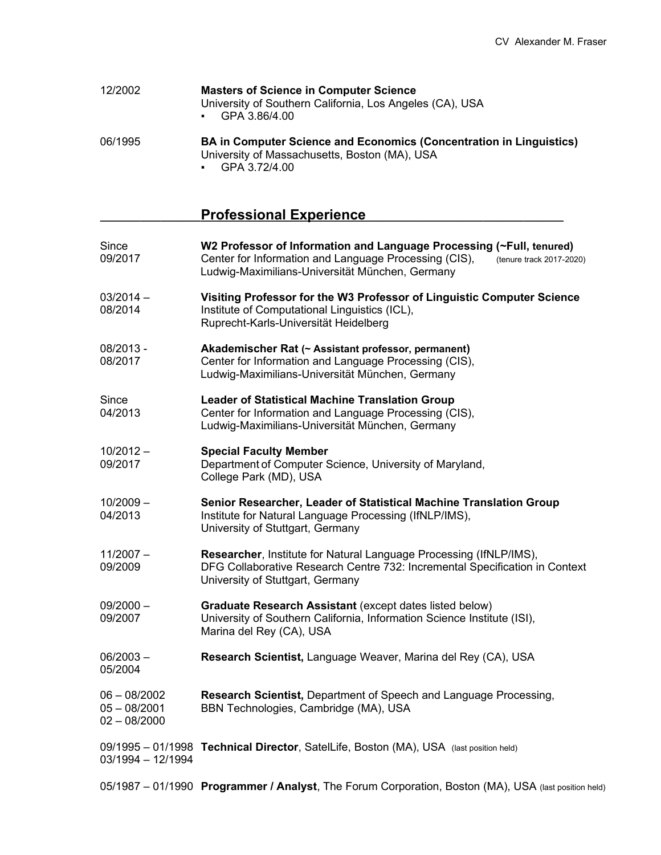| 12/2002 | <b>Masters of Science in Computer Science</b><br>University of Southern California, Los Angeles (CA), USA<br>GPA 3.86/4.00  |
|---------|-----------------------------------------------------------------------------------------------------------------------------|
| 06/1995 | <b>BA in Computer Science and Economics (Concentration in Linguistics)</b><br>University of Massachusetts, Boston (MA), USA |

▪ GPA 3.72/4.00

# **Professional Experience**

| Since<br>09/2017                                   | W2 Professor of Information and Language Processing (~Full, tenured)<br>Center for Information and Language Processing (CIS),<br>(tenure track 2017-2020)<br>Ludwig-Maximilians-Universität München, Germany |
|----------------------------------------------------|--------------------------------------------------------------------------------------------------------------------------------------------------------------------------------------------------------------|
| $03/2014 -$<br>08/2014                             | Visiting Professor for the W3 Professor of Linguistic Computer Science<br>Institute of Computational Linguistics (ICL),<br>Ruprecht-Karls-Universität Heidelberg                                             |
| 08/2013 -<br>08/2017                               | Akademischer Rat (~ Assistant professor, permanent)<br>Center for Information and Language Processing (CIS),<br>Ludwig-Maximilians-Universität München, Germany                                              |
| Since<br>04/2013                                   | <b>Leader of Statistical Machine Translation Group</b><br>Center for Information and Language Processing (CIS),<br>Ludwig-Maximilians-Universität München, Germany                                           |
| $10/2012 -$<br>09/2017                             | <b>Special Faculty Member</b><br>Department of Computer Science, University of Maryland,<br>College Park (MD), USA                                                                                           |
| $10/2009 -$<br>04/2013                             | Senior Researcher, Leader of Statistical Machine Translation Group<br>Institute for Natural Language Processing (IfNLP/IMS),<br>University of Stuttgart, Germany                                             |
| $11/2007 -$<br>09/2009                             | Researcher, Institute for Natural Language Processing (IfNLP/IMS),<br>DFG Collaborative Research Centre 732: Incremental Specification in Context<br>University of Stuttgart, Germany                        |
| $09/2000 -$<br>09/2007                             | Graduate Research Assistant (except dates listed below)<br>University of Southern California, Information Science Institute (ISI),<br>Marina del Rey (CA), USA                                               |
| $06/2003 -$<br>05/2004                             | Research Scientist, Language Weaver, Marina del Rey (CA), USA                                                                                                                                                |
| $06 - 08/2002$<br>$05 - 08/2001$<br>$02 - 08/2000$ | Research Scientist, Department of Speech and Language Processing,<br>BBN Technologies, Cambridge (MA), USA                                                                                                   |
| $03/1994 - 12/1994$                                | 09/1995 - 01/1998 Technical Director, SatelLife, Boston (MA), USA (last position held)                                                                                                                       |
|                                                    | 05/1987 - 01/1990 Programmer / Analyst, The Forum Corporation, Boston (MA), USA (last position held)                                                                                                         |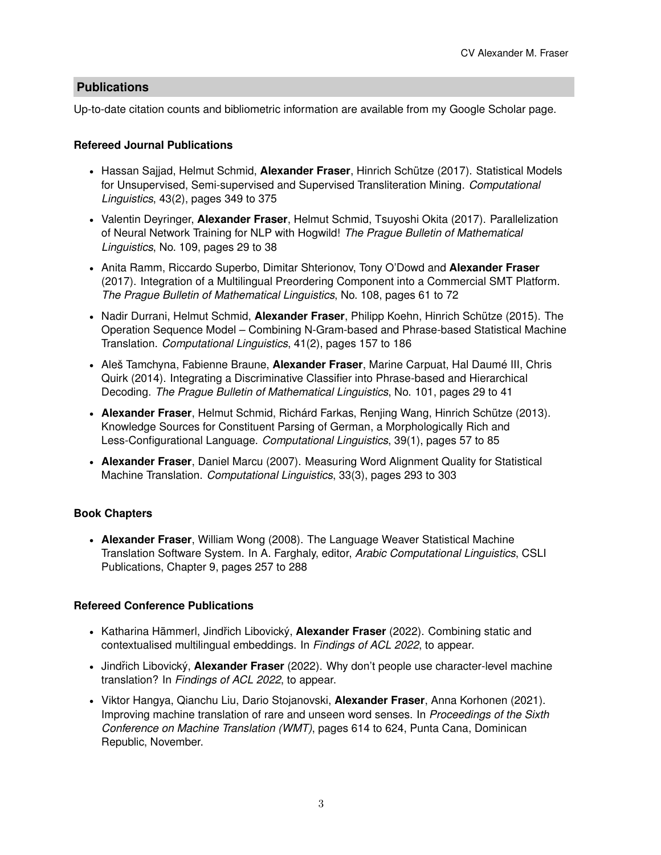# **Publications**

Up-to-date citation counts and bibliometric information are available from my Google Scholar page.

# **Refereed Journal Publications**

- Hassan Sajjad, Helmut Schmid, **Alexander Fraser**, Hinrich Schütze (2017). Statistical Models for Unsupervised, Semi-supervised and Supervised Transliteration Mining. *Computational Linguistics*, 43(2), pages 349 to 375
- Valentin Deyringer, **Alexander Fraser**, Helmut Schmid, Tsuyoshi Okita (2017). Parallelization of Neural Network Training for NLP with Hogwild! *The Prague Bulletin of Mathematical Linguistics*, No. 109, pages 29 to 38
- Anita Ramm, Riccardo Superbo, Dimitar Shterionov, Tony O'Dowd and **Alexander Fraser** (2017). Integration of a Multilingual Preordering Component into a Commercial SMT Platform. *The Prague Bulletin of Mathematical Linguistics*, No. 108, pages 61 to 72
- Nadir Durrani, Helmut Schmid, **Alexander Fraser**, Philipp Koehn, Hinrich Schütze (2015). The Operation Sequence Model – Combining N-Gram-based and Phrase-based Statistical Machine Translation. *Computational Linguistics*, 41(2), pages 157 to 186
- Aleš Tamchyna, Fabienne Braune, **Alexander Fraser**, Marine Carpuat, Hal Daumé III, Chris Quirk (2014). Integrating a Discriminative Classifier into Phrase-based and Hierarchical Decoding. *The Prague Bulletin of Mathematical Linguistics*, No. 101, pages 29 to 41
- **Alexander Fraser**, Helmut Schmid, Richárd Farkas, Renjing Wang, Hinrich Schütze (2013). Knowledge Sources for Constituent Parsing of German, a Morphologically Rich and Less-Configurational Language. *Computational Linguistics*, 39(1), pages 57 to 85
- **Alexander Fraser**, Daniel Marcu (2007). Measuring Word Alignment Quality for Statistical Machine Translation. *Computational Linguistics*, 33(3), pages 293 to 303

# **Book Chapters**

• **Alexander Fraser**, William Wong (2008). The Language Weaver Statistical Machine Translation Software System. In A. Farghaly, editor, *Arabic Computational Linguistics*, CSLI Publications, Chapter 9, pages 257 to 288

# **Refereed Conference Publications**

- Katharina Hämmerl, Jindřich Libovický, **Alexander Fraser** (2022). Combining static and contextualised multilingual embeddings. In *Findings of ACL 2022*, to appear.
- Jindřich Libovický, Alexander Fraser (2022). Why don't people use character-level machine translation? In *Findings of ACL 2022*, to appear.
- Viktor Hangya, Qianchu Liu, Dario Stojanovski, **Alexander Fraser**, Anna Korhonen (2021). Improving machine translation of rare and unseen word senses. In *Proceedings of the Sixth Conference on Machine Translation (WMT)*, pages 614 to 624, Punta Cana, Dominican Republic, November.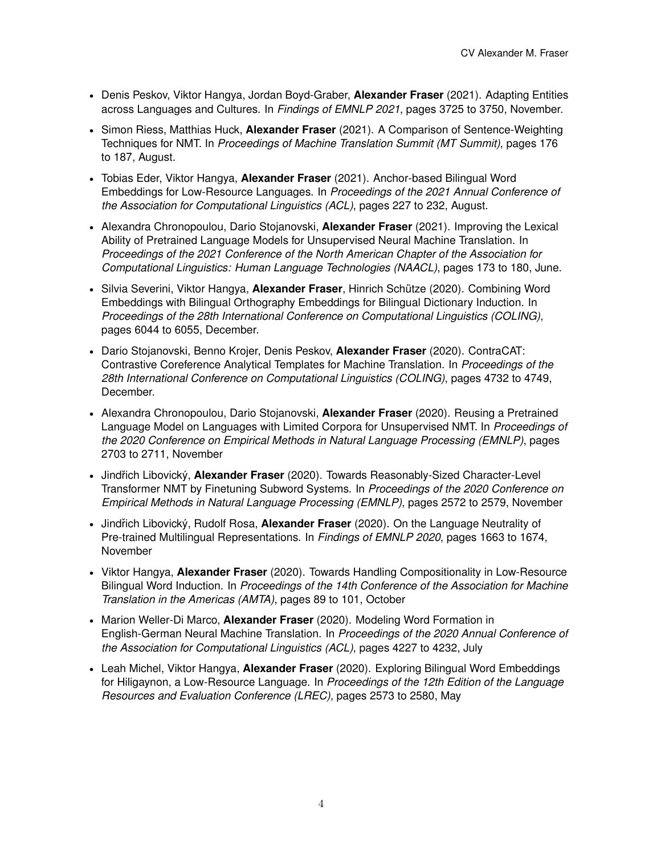- Denis Peskov, Viktor Hangya, Jordan Boyd-Graber, **Alexander Fraser** (2021). Adapting Entities across Languages and Cultures. In *Findings of EMNLP 2021*, pages 3725 to 3750, November.
- Simon Riess, Matthias Huck, **Alexander Fraser** (2021). A Comparison of Sentence-Weighting Techniques for NMT. In *Proceedings of Machine Translation Summit (MT Summit)*, pages 176 to 187, August.
- Tobias Eder, Viktor Hangya, **Alexander Fraser** (2021). Anchor-based Bilingual Word Embeddings for Low-Resource Languages. In *Proceedings of the 2021 Annual Conference of the Association for Computational Linguistics (ACL)*, pages 227 to 232, August.
- Alexandra Chronopoulou, Dario Stojanovski, **Alexander Fraser** (2021). Improving the Lexical Ability of Pretrained Language Models for Unsupervised Neural Machine Translation. In *Proceedings of the 2021 Conference of the North American Chapter of the Association for Computational Linguistics: Human Language Technologies (NAACL)*, pages 173 to 180, June.
- Silvia Severini, Viktor Hangya, **Alexander Fraser**, Hinrich Schütze (2020). Combining Word Embeddings with Bilingual Orthography Embeddings for Bilingual Dictionary Induction. In *Proceedings of the 28th International Conference on Computational Linguistics (COLING)*, pages 6044 to 6055, December.
- Dario Stojanovski, Benno Krojer, Denis Peskov, **Alexander Fraser** (2020). ContraCAT: Contrastive Coreference Analytical Templates for Machine Translation. In *Proceedings of the 28th International Conference on Computational Linguistics (COLING)*, pages 4732 to 4749, December.
- Alexandra Chronopoulou, Dario Stojanovski, **Alexander Fraser** (2020). Reusing a Pretrained Language Model on Languages with Limited Corpora for Unsupervised NMT. In *Proceedings of the 2020 Conference on Empirical Methods in Natural Language Processing (EMNLP)*, pages 2703 to 2711, November
- Jindřich Libovický, Alexander Fraser (2020). Towards Reasonably-Sized Character-Level Transformer NMT by Finetuning Subword Systems. In *Proceedings of the 2020 Conference on Empirical Methods in Natural Language Processing (EMNLP)*, pages 2572 to 2579, November
- Jindřich Libovický, Rudolf Rosa, Alexander Fraser (2020). On the Language Neutrality of Pre-trained Multilingual Representations. In *Findings of EMNLP 2020*, pages 1663 to 1674, November
- Viktor Hangya, **Alexander Fraser** (2020). Towards Handling Compositionality in Low-Resource Bilingual Word Induction. In *Proceedings of the 14th Conference of the Association for Machine Translation in the Americas (AMTA)*, pages 89 to 101, October
- Marion Weller-Di Marco, **Alexander Fraser** (2020). Modeling Word Formation in English-German Neural Machine Translation. In *Proceedings of the 2020 Annual Conference of the Association for Computational Linguistics (ACL)*, pages 4227 to 4232, July
- Leah Michel, Viktor Hangya, **Alexander Fraser** (2020). Exploring Bilingual Word Embeddings for Hiligaynon, a Low-Resource Language. In *Proceedings of the 12th Edition of the Language Resources and Evaluation Conference (LREC)*, pages 2573 to 2580, May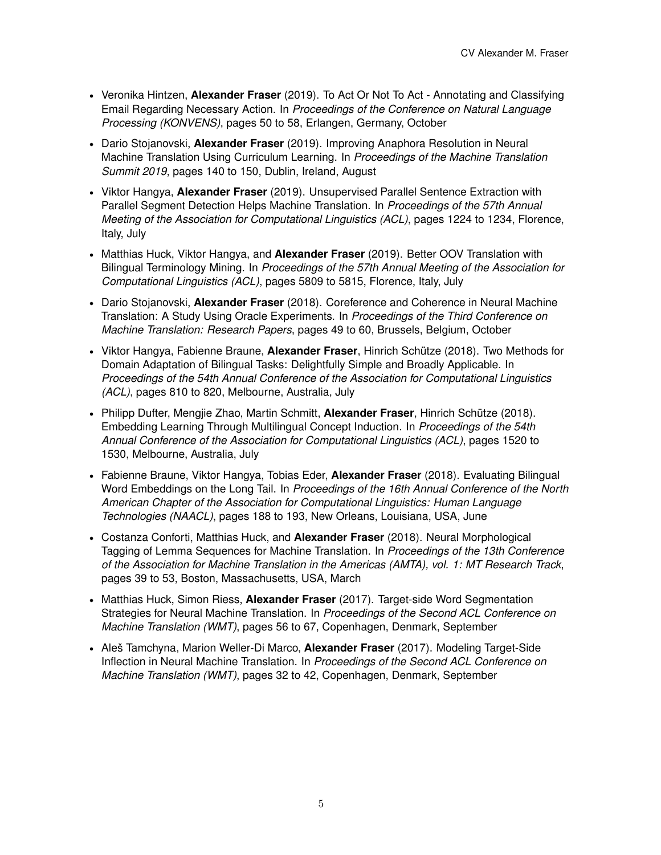- Veronika Hintzen, **Alexander Fraser** (2019). To Act Or Not To Act Annotating and Classifying Email Regarding Necessary Action. In *Proceedings of the Conference on Natural Language Processing (KONVENS)*, pages 50 to 58, Erlangen, Germany, October
- Dario Stojanovski, **Alexander Fraser** (2019). Improving Anaphora Resolution in Neural Machine Translation Using Curriculum Learning. In *Proceedings of the Machine Translation Summit 2019*, pages 140 to 150, Dublin, Ireland, August
- Viktor Hangya, **Alexander Fraser** (2019). Unsupervised Parallel Sentence Extraction with Parallel Segment Detection Helps Machine Translation. In *Proceedings of the 57th Annual Meeting of the Association for Computational Linguistics (ACL)*, pages 1224 to 1234, Florence, Italy, July
- Matthias Huck, Viktor Hangya, and **Alexander Fraser** (2019). Better OOV Translation with Bilingual Terminology Mining. In *Proceedings of the 57th Annual Meeting of the Association for Computational Linguistics (ACL)*, pages 5809 to 5815, Florence, Italy, July
- Dario Stojanovski, **Alexander Fraser** (2018). Coreference and Coherence in Neural Machine Translation: A Study Using Oracle Experiments. In *Proceedings of the Third Conference on Machine Translation: Research Papers*, pages 49 to 60, Brussels, Belgium, October
- Viktor Hangya, Fabienne Braune, **Alexander Fraser**, Hinrich Schütze (2018). Two Methods for Domain Adaptation of Bilingual Tasks: Delightfully Simple and Broadly Applicable. In *Proceedings of the 54th Annual Conference of the Association for Computational Linguistics (ACL)*, pages 810 to 820, Melbourne, Australia, July
- Philipp Dufter, Mengjie Zhao, Martin Schmitt, **Alexander Fraser**, Hinrich Schütze (2018). Embedding Learning Through Multilingual Concept Induction. In *Proceedings of the 54th Annual Conference of the Association for Computational Linguistics (ACL)*, pages 1520 to 1530, Melbourne, Australia, July
- Fabienne Braune, Viktor Hangya, Tobias Eder, **Alexander Fraser** (2018). Evaluating Bilingual Word Embeddings on the Long Tail. In *Proceedings of the 16th Annual Conference of the North American Chapter of the Association for Computational Linguistics: Human Language Technologies (NAACL)*, pages 188 to 193, New Orleans, Louisiana, USA, June
- Costanza Conforti, Matthias Huck, and **Alexander Fraser** (2018). Neural Morphological Tagging of Lemma Sequences for Machine Translation. In *Proceedings of the 13th Conference of the Association for Machine Translation in the Americas (AMTA), vol. 1: MT Research Track*, pages 39 to 53, Boston, Massachusetts, USA, March
- Matthias Huck, Simon Riess, **Alexander Fraser** (2017). Target-side Word Segmentation Strategies for Neural Machine Translation. In *Proceedings of the Second ACL Conference on Machine Translation (WMT)*, pages 56 to 67, Copenhagen, Denmark, September
- Aleš Tamchyna, Marion Weller-Di Marco, **Alexander Fraser** (2017). Modeling Target-Side Inflection in Neural Machine Translation. In *Proceedings of the Second ACL Conference on Machine Translation (WMT)*, pages 32 to 42, Copenhagen, Denmark, September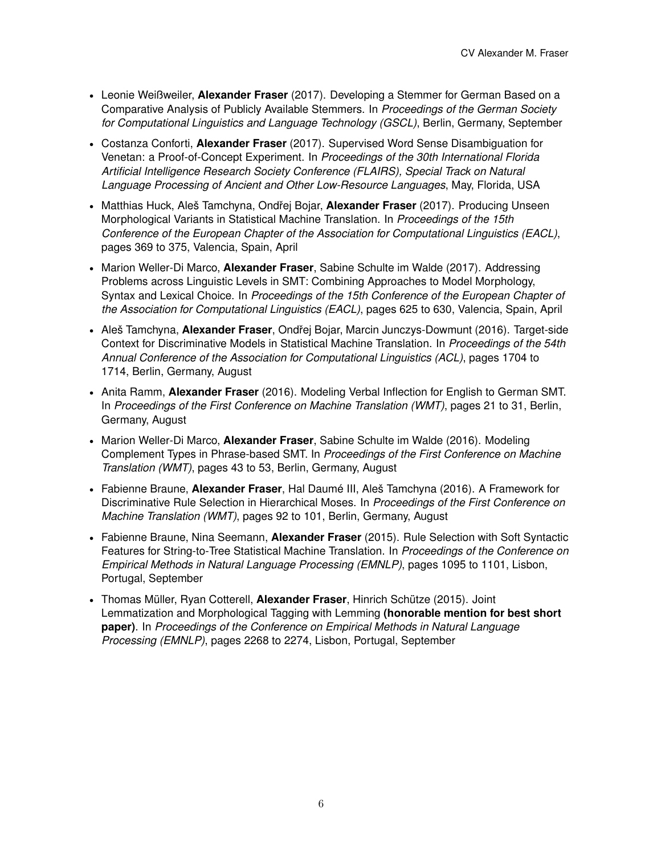- Leonie Weißweiler, **Alexander Fraser** (2017). Developing a Stemmer for German Based on a Comparative Analysis of Publicly Available Stemmers. In *Proceedings of the German Society for Computational Linguistics and Language Technology (GSCL)*, Berlin, Germany, September
- Costanza Conforti, **Alexander Fraser** (2017). Supervised Word Sense Disambiguation for Venetan: a Proof-of-Concept Experiment. In *Proceedings of the 30th International Florida Artificial Intelligence Research Society Conference (FLAIRS), Special Track on Natural Language Processing of Ancient and Other Low-Resource Languages*, May, Florida, USA
- Matthias Huck, Aleš Tamchyna, Ondˇrej Bojar, **Alexander Fraser** (2017). Producing Unseen Morphological Variants in Statistical Machine Translation. In *Proceedings of the 15th Conference of the European Chapter of the Association for Computational Linguistics (EACL)*, pages 369 to 375, Valencia, Spain, April
- Marion Weller-Di Marco, **Alexander Fraser**, Sabine Schulte im Walde (2017). Addressing Problems across Linguistic Levels in SMT: Combining Approaches to Model Morphology, Syntax and Lexical Choice. In *Proceedings of the 15th Conference of the European Chapter of the Association for Computational Linguistics (EACL)*, pages 625 to 630, Valencia, Spain, April
- Aleš Tamchyna, **Alexander Fraser**, Ondřej Bojar, Marcin Junczys-Dowmunt (2016). Target-side Context for Discriminative Models in Statistical Machine Translation. In *Proceedings of the 54th Annual Conference of the Association for Computational Linguistics (ACL)*, pages 1704 to 1714, Berlin, Germany, August
- Anita Ramm, **Alexander Fraser** (2016). Modeling Verbal Inflection for English to German SMT. In *Proceedings of the First Conference on Machine Translation (WMT)*, pages 21 to 31, Berlin, Germany, August
- Marion Weller-Di Marco, **Alexander Fraser**, Sabine Schulte im Walde (2016). Modeling Complement Types in Phrase-based SMT. In *Proceedings of the First Conference on Machine Translation (WMT)*, pages 43 to 53, Berlin, Germany, August
- Fabienne Braune, **Alexander Fraser**, Hal Daumé III, Aleš Tamchyna (2016). A Framework for Discriminative Rule Selection in Hierarchical Moses. In *Proceedings of the First Conference on Machine Translation (WMT)*, pages 92 to 101, Berlin, Germany, August
- Fabienne Braune, Nina Seemann, **Alexander Fraser** (2015). Rule Selection with Soft Syntactic Features for String-to-Tree Statistical Machine Translation. In *Proceedings of the Conference on Empirical Methods in Natural Language Processing (EMNLP)*, pages 1095 to 1101, Lisbon, Portugal, September
- Thomas Müller, Ryan Cotterell, **Alexander Fraser**, Hinrich Schütze (2015). Joint Lemmatization and Morphological Tagging with Lemming **(honorable mention for best short paper)**. In *Proceedings of the Conference on Empirical Methods in Natural Language Processing (EMNLP)*, pages 2268 to 2274, Lisbon, Portugal, September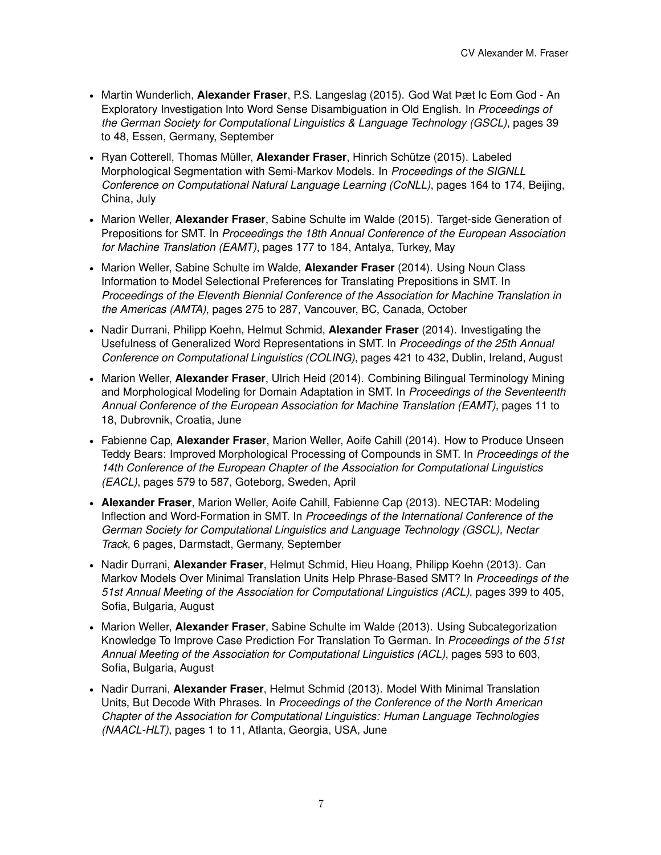- Martin Wunderlich, **Alexander Fraser**, P.S. Langeslag (2015). God Wat Þæt Ic Eom God An Exploratory Investigation Into Word Sense Disambiguation in Old English. In *Proceedings of the German Society for Computational Linguistics & Language Technology (GSCL)*, pages 39 to 48, Essen, Germany, September
- Ryan Cotterell, Thomas Müller, **Alexander Fraser**, Hinrich Schütze (2015). Labeled Morphological Segmentation with Semi-Markov Models. In *Proceedings of the SIGNLL Conference on Computational Natural Language Learning (CoNLL)*, pages 164 to 174, Beijing, China, July
- Marion Weller, **Alexander Fraser**, Sabine Schulte im Walde (2015). Target-side Generation of Prepositions for SMT. In *Proceedings the 18th Annual Conference of the European Association for Machine Translation (EAMT)*, pages 177 to 184, Antalya, Turkey, May
- Marion Weller, Sabine Schulte im Walde, **Alexander Fraser** (2014). Using Noun Class Information to Model Selectional Preferences for Translating Prepositions in SMT. In *Proceedings of the Eleventh Biennial Conference of the Association for Machine Translation in the Americas (AMTA)*, pages 275 to 287, Vancouver, BC, Canada, October
- Nadir Durrani, Philipp Koehn, Helmut Schmid, **Alexander Fraser** (2014). Investigating the Usefulness of Generalized Word Representations in SMT. In *Proceedings of the 25th Annual Conference on Computational Linguistics (COLING)*, pages 421 to 432, Dublin, Ireland, August
- Marion Weller, **Alexander Fraser**, Ulrich Heid (2014). Combining Bilingual Terminology Mining and Morphological Modeling for Domain Adaptation in SMT. In *Proceedings of the Seventeenth Annual Conference of the European Association for Machine Translation (EAMT)*, pages 11 to 18, Dubrovnik, Croatia, June
- Fabienne Cap, **Alexander Fraser**, Marion Weller, Aoife Cahill (2014). How to Produce Unseen Teddy Bears: Improved Morphological Processing of Compounds in SMT. In *Proceedings of the 14th Conference of the European Chapter of the Association for Computational Linguistics (EACL)*, pages 579 to 587, Goteborg, Sweden, April
- **Alexander Fraser**, Marion Weller, Aoife Cahill, Fabienne Cap (2013). NECTAR: Modeling Inflection and Word-Formation in SMT. In *Proceedings of the International Conference of the German Society for Computational Linguistics and Language Technology (GSCL), Nectar Track*, 6 pages, Darmstadt, Germany, September
- Nadir Durrani, **Alexander Fraser**, Helmut Schmid, Hieu Hoang, Philipp Koehn (2013). Can Markov Models Over Minimal Translation Units Help Phrase-Based SMT? In *Proceedings of the 51st Annual Meeting of the Association for Computational Linguistics (ACL)*, pages 399 to 405, Sofia, Bulgaria, August
- Marion Weller, **Alexander Fraser**, Sabine Schulte im Walde (2013). Using Subcategorization Knowledge To Improve Case Prediction For Translation To German. In *Proceedings of the 51st Annual Meeting of the Association for Computational Linguistics (ACL)*, pages 593 to 603, Sofia, Bulgaria, August
- Nadir Durrani, **Alexander Fraser**, Helmut Schmid (2013). Model With Minimal Translation Units, But Decode With Phrases. In *Proceedings of the Conference of the North American Chapter of the Association for Computational Linguistics: Human Language Technologies (NAACL-HLT)*, pages 1 to 11, Atlanta, Georgia, USA, June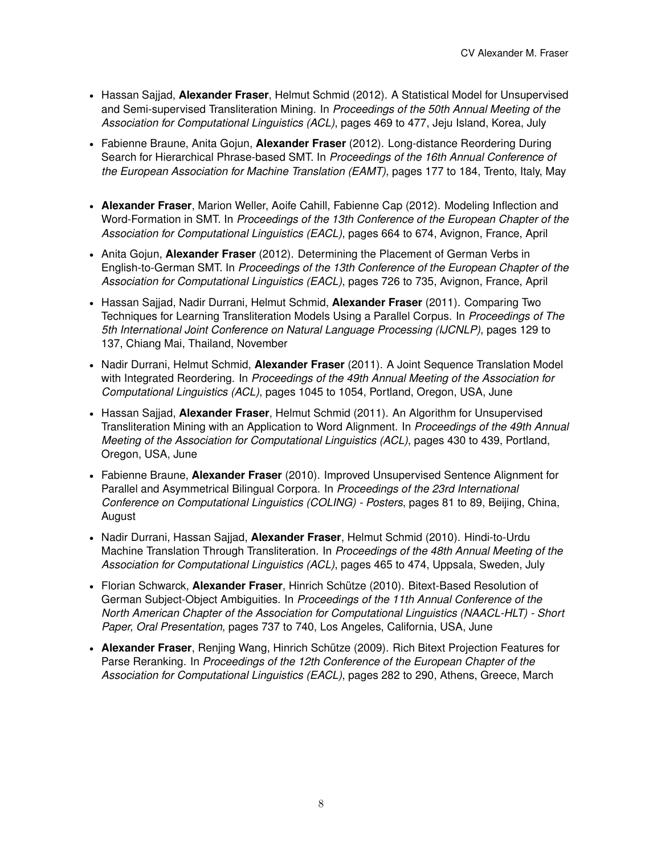- Hassan Sajjad, **Alexander Fraser**, Helmut Schmid (2012). A Statistical Model for Unsupervised and Semi-supervised Transliteration Mining. In *Proceedings of the 50th Annual Meeting of the Association for Computational Linguistics (ACL)*, pages 469 to 477, Jeju Island, Korea, July
- Fabienne Braune, Anita Gojun, **Alexander Fraser** (2012). Long-distance Reordering During Search for Hierarchical Phrase-based SMT. In *Proceedings of the 16th Annual Conference of the European Association for Machine Translation (EAMT)*, pages 177 to 184, Trento, Italy, May
- **Alexander Fraser**, Marion Weller, Aoife Cahill, Fabienne Cap (2012). Modeling Inflection and Word-Formation in SMT. In *Proceedings of the 13th Conference of the European Chapter of the Association for Computational Linguistics (EACL)*, pages 664 to 674, Avignon, France, April
- Anita Gojun, **Alexander Fraser** (2012). Determining the Placement of German Verbs in English-to-German SMT. In *Proceedings of the 13th Conference of the European Chapter of the Association for Computational Linguistics (EACL)*, pages 726 to 735, Avignon, France, April
- Hassan Sajjad, Nadir Durrani, Helmut Schmid, **Alexander Fraser** (2011). Comparing Two Techniques for Learning Transliteration Models Using a Parallel Corpus. In *Proceedings of The 5th International Joint Conference on Natural Language Processing (IJCNLP)*, pages 129 to 137, Chiang Mai, Thailand, November
- Nadir Durrani, Helmut Schmid, **Alexander Fraser** (2011). A Joint Sequence Translation Model with Integrated Reordering. In *Proceedings of the 49th Annual Meeting of the Association for Computational Linguistics (ACL)*, pages 1045 to 1054, Portland, Oregon, USA, June
- Hassan Sajjad, **Alexander Fraser**, Helmut Schmid (2011). An Algorithm for Unsupervised Transliteration Mining with an Application to Word Alignment. In *Proceedings of the 49th Annual Meeting of the Association for Computational Linguistics (ACL)*, pages 430 to 439, Portland, Oregon, USA, June
- Fabienne Braune, **Alexander Fraser** (2010). Improved Unsupervised Sentence Alignment for Parallel and Asymmetrical Bilingual Corpora. In *Proceedings of the 23rd International Conference on Computational Linguistics (COLING) - Posters*, pages 81 to 89, Beijing, China, August
- Nadir Durrani, Hassan Sajjad, **Alexander Fraser**, Helmut Schmid (2010). Hindi-to-Urdu Machine Translation Through Transliteration. In *Proceedings of the 48th Annual Meeting of the Association for Computational Linguistics (ACL)*, pages 465 to 474, Uppsala, Sweden, July
- Florian Schwarck, **Alexander Fraser**, Hinrich Schütze (2010). Bitext-Based Resolution of German Subject-Object Ambiguities. In *Proceedings of the 11th Annual Conference of the North American Chapter of the Association for Computational Linguistics (NAACL-HLT) - Short Paper, Oral Presentation*, pages 737 to 740, Los Angeles, California, USA, June
- **Alexander Fraser**, Renjing Wang, Hinrich Schütze (2009). Rich Bitext Projection Features for Parse Reranking. In *Proceedings of the 12th Conference of the European Chapter of the Association for Computational Linguistics (EACL)*, pages 282 to 290, Athens, Greece, March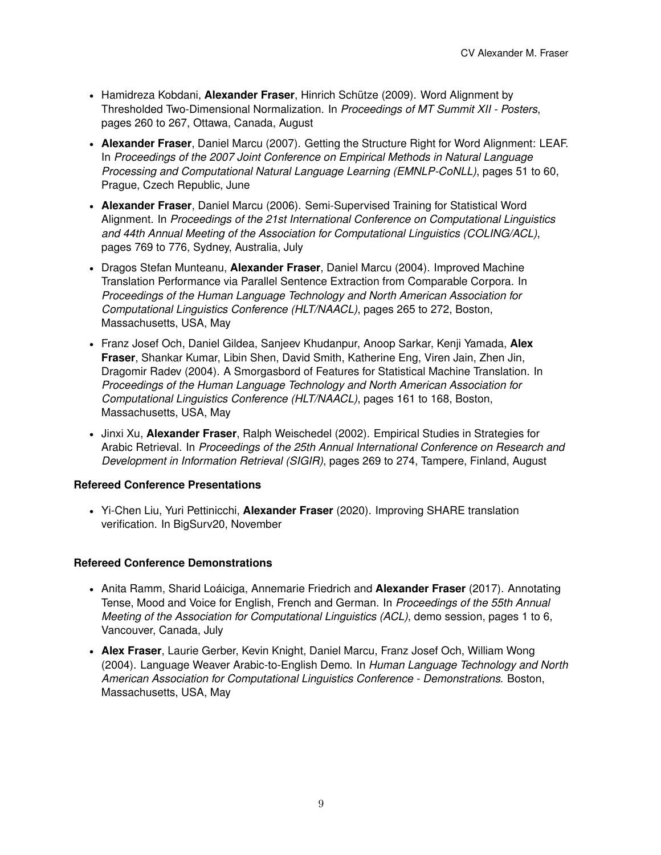- Hamidreza Kobdani, **Alexander Fraser**, Hinrich Schütze (2009). Word Alignment by Thresholded Two-Dimensional Normalization. In *Proceedings of MT Summit XII - Posters*, pages 260 to 267, Ottawa, Canada, August
- **Alexander Fraser**, Daniel Marcu (2007). Getting the Structure Right for Word Alignment: LEAF. In *Proceedings of the 2007 Joint Conference on Empirical Methods in Natural Language Processing and Computational Natural Language Learning (EMNLP-CoNLL)*, pages 51 to 60, Prague, Czech Republic, June
- **Alexander Fraser**, Daniel Marcu (2006). Semi-Supervised Training for Statistical Word Alignment. In *Proceedings of the 21st International Conference on Computational Linguistics and 44th Annual Meeting of the Association for Computational Linguistics (COLING/ACL)*, pages 769 to 776, Sydney, Australia, July
- Dragos Stefan Munteanu, **Alexander Fraser**, Daniel Marcu (2004). Improved Machine Translation Performance via Parallel Sentence Extraction from Comparable Corpora. In *Proceedings of the Human Language Technology and North American Association for Computational Linguistics Conference (HLT/NAACL)*, pages 265 to 272, Boston, Massachusetts, USA, May
- Franz Josef Och, Daniel Gildea, Sanjeev Khudanpur, Anoop Sarkar, Kenji Yamada, **Alex Fraser**, Shankar Kumar, Libin Shen, David Smith, Katherine Eng, Viren Jain, Zhen Jin, Dragomir Radev (2004). A Smorgasbord of Features for Statistical Machine Translation. In *Proceedings of the Human Language Technology and North American Association for Computational Linguistics Conference (HLT/NAACL)*, pages 161 to 168, Boston, Massachusetts, USA, May
- Jinxi Xu, **Alexander Fraser**, Ralph Weischedel (2002). Empirical Studies in Strategies for Arabic Retrieval. In *Proceedings of the 25th Annual International Conference on Research and Development in Information Retrieval (SIGIR)*, pages 269 to 274, Tampere, Finland, August

#### **Refereed Conference Presentations**

• Yi-Chen Liu, Yuri Pettinicchi, **Alexander Fraser** (2020). Improving SHARE translation verification. In BigSurv20, November

#### **Refereed Conference Demonstrations**

- Anita Ramm, Sharid Loáiciga, Annemarie Friedrich and **Alexander Fraser** (2017). Annotating Tense, Mood and Voice for English, French and German. In *Proceedings of the 55th Annual Meeting of the Association for Computational Linguistics (ACL)*, demo session, pages 1 to 6, Vancouver, Canada, July
- **Alex Fraser**, Laurie Gerber, Kevin Knight, Daniel Marcu, Franz Josef Och, William Wong (2004). Language Weaver Arabic-to-English Demo. In *Human Language Technology and North American Association for Computational Linguistics Conference - Demonstrations*. Boston, Massachusetts, USA, May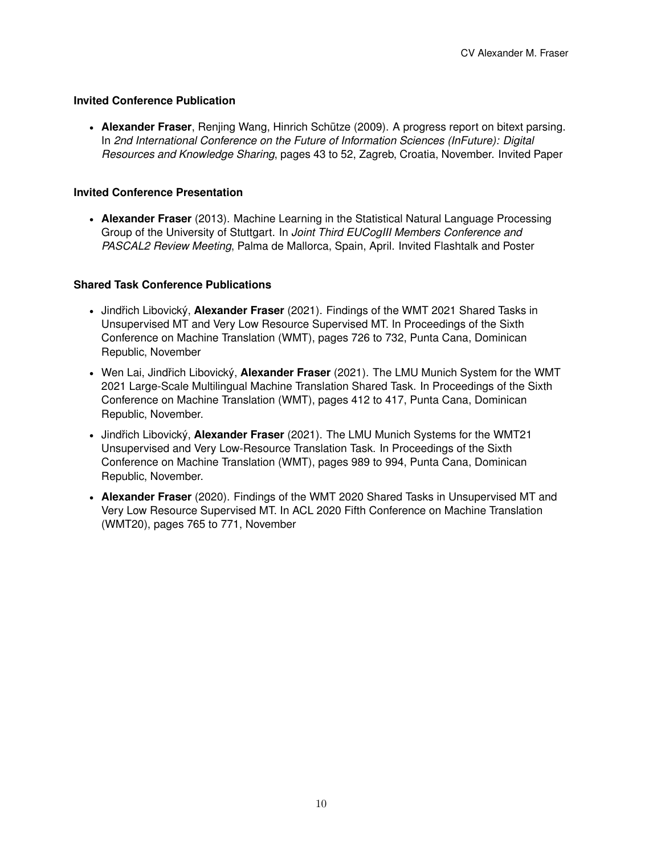# **Invited Conference Publication**

• **Alexander Fraser**, Renjing Wang, Hinrich Schütze (2009). A progress report on bitext parsing. In *2nd International Conference on the Future of Information Sciences (InFuture): Digital Resources and Knowledge Sharing*, pages 43 to 52, Zagreb, Croatia, November. Invited Paper

# **Invited Conference Presentation**

• **Alexander Fraser** (2013). Machine Learning in the Statistical Natural Language Processing Group of the University of Stuttgart. In *Joint Third EUCogIII Members Conference and PASCAL2 Review Meeting*, Palma de Mallorca, Spain, April. Invited Flashtalk and Poster

### **Shared Task Conference Publications**

- Jindřich Libovický, **Alexander Fraser** (2021). Findings of the WMT 2021 Shared Tasks in Unsupervised MT and Very Low Resource Supervised MT. In Proceedings of the Sixth Conference on Machine Translation (WMT), pages 726 to 732, Punta Cana, Dominican Republic, November
- Wen Lai, Jindřich Libovický, Alexander Fraser (2021). The LMU Munich System for the WMT 2021 Large-Scale Multilingual Machine Translation Shared Task. In Proceedings of the Sixth Conference on Machine Translation (WMT), pages 412 to 417, Punta Cana, Dominican Republic, November.
- Jindřich Libovický, Alexander Fraser (2021). The LMU Munich Systems for the WMT21 Unsupervised and Very Low-Resource Translation Task. In Proceedings of the Sixth Conference on Machine Translation (WMT), pages 989 to 994, Punta Cana, Dominican Republic, November.
- **Alexander Fraser** (2020). Findings of the WMT 2020 Shared Tasks in Unsupervised MT and Very Low Resource Supervised MT. In ACL 2020 Fifth Conference on Machine Translation (WMT20), pages 765 to 771, November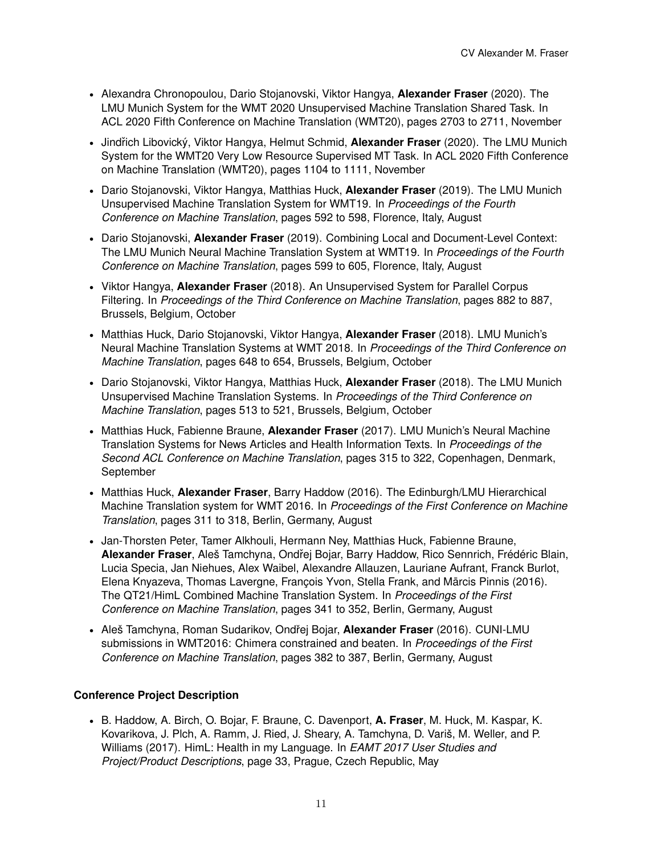- Alexandra Chronopoulou, Dario Stojanovski, Viktor Hangya, **Alexander Fraser** (2020). The LMU Munich System for the WMT 2020 Unsupervised Machine Translation Shared Task. In ACL 2020 Fifth Conference on Machine Translation (WMT20), pages 2703 to 2711, November
- Jindřich Libovický, Viktor Hangya, Helmut Schmid, Alexander Fraser (2020). The LMU Munich System for the WMT20 Very Low Resource Supervised MT Task. In ACL 2020 Fifth Conference on Machine Translation (WMT20), pages 1104 to 1111, November
- Dario Stojanovski, Viktor Hangya, Matthias Huck, **Alexander Fraser** (2019). The LMU Munich Unsupervised Machine Translation System for WMT19. In *Proceedings of the Fourth Conference on Machine Translation*, pages 592 to 598, Florence, Italy, August
- Dario Stojanovski, **Alexander Fraser** (2019). Combining Local and Document-Level Context: The LMU Munich Neural Machine Translation System at WMT19. In *Proceedings of the Fourth Conference on Machine Translation*, pages 599 to 605, Florence, Italy, August
- Viktor Hangya, **Alexander Fraser** (2018). An Unsupervised System for Parallel Corpus Filtering. In *Proceedings of the Third Conference on Machine Translation*, pages 882 to 887, Brussels, Belgium, October
- Matthias Huck, Dario Stojanovski, Viktor Hangya, **Alexander Fraser** (2018). LMU Munich's Neural Machine Translation Systems at WMT 2018. In *Proceedings of the Third Conference on Machine Translation*, pages 648 to 654, Brussels, Belgium, October
- Dario Stojanovski, Viktor Hangya, Matthias Huck, **Alexander Fraser** (2018). The LMU Munich Unsupervised Machine Translation Systems. In *Proceedings of the Third Conference on Machine Translation*, pages 513 to 521, Brussels, Belgium, October
- Matthias Huck, Fabienne Braune, **Alexander Fraser** (2017). LMU Munich's Neural Machine Translation Systems for News Articles and Health Information Texts. In *Proceedings of the Second ACL Conference on Machine Translation*, pages 315 to 322, Copenhagen, Denmark, September
- Matthias Huck, **Alexander Fraser**, Barry Haddow (2016). The Edinburgh/LMU Hierarchical Machine Translation system for WMT 2016. In *Proceedings of the First Conference on Machine Translation*, pages 311 to 318, Berlin, Germany, August
- Jan-Thorsten Peter, Tamer Alkhouli, Hermann Ney, Matthias Huck, Fabienne Braune, **Alexander Fraser**, Aleš Tamchyna, Ondˇrej Bojar, Barry Haddow, Rico Sennrich, Frédéric Blain, Lucia Specia, Jan Niehues, Alex Waibel, Alexandre Allauzen, Lauriane Aufrant, Franck Burlot, Elena Knyazeva, Thomas Lavergne, François Yvon, Stella Frank, and Marcis Pinnis (2016). ¯ The QT21/HimL Combined Machine Translation System. In *Proceedings of the First Conference on Machine Translation*, pages 341 to 352, Berlin, Germany, August
- Aleš Tamchyna, Roman Sudarikov, Ondˇrej Bojar, **Alexander Fraser** (2016). CUNI-LMU submissions in WMT2016: Chimera constrained and beaten. In *Proceedings of the First Conference on Machine Translation*, pages 382 to 387, Berlin, Germany, August

# **Conference Project Description**

• B. Haddow, A. Birch, O. Bojar, F. Braune, C. Davenport, **A. Fraser**, M. Huck, M. Kaspar, K. Kovarikova, J. Plch, A. Ramm, J. Ried, J. Sheary, A. Tamchyna, D. Variš, M. Weller, and P. Williams (2017). HimL: Health in my Language. In *EAMT 2017 User Studies and Project/Product Descriptions*, page 33, Prague, Czech Republic, May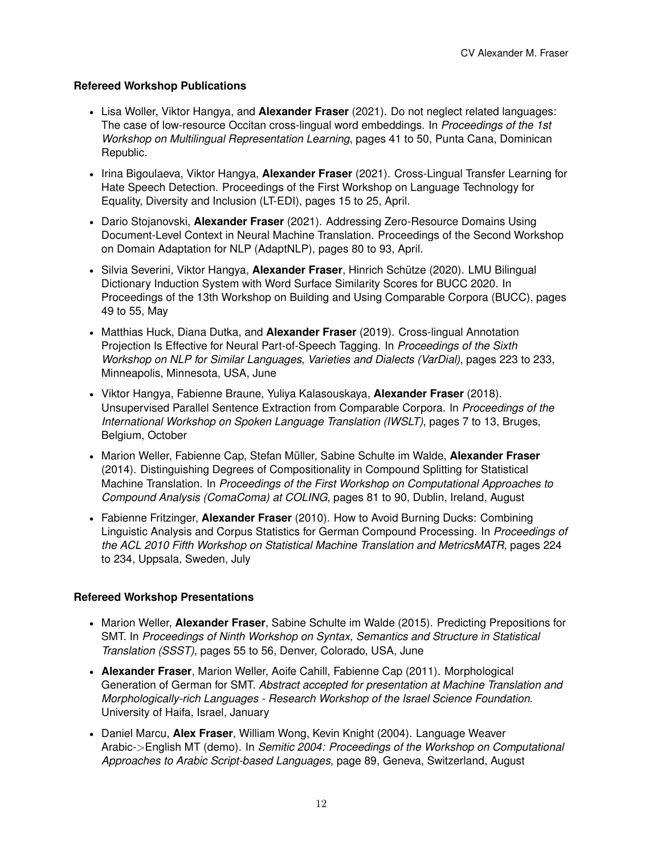# **Refereed Workshop Publications**

- Lisa Woller, Viktor Hangya, and **Alexander Fraser** (2021). Do not neglect related languages: The case of low-resource Occitan cross-lingual word embeddings. In *Proceedings of the 1st Workshop on Multilingual Representation Learning*, pages 41 to 50, Punta Cana, Dominican Republic.
- Irina Bigoulaeva, Viktor Hangya, **Alexander Fraser** (2021). Cross-Lingual Transfer Learning for Hate Speech Detection. Proceedings of the First Workshop on Language Technology for Equality, Diversity and Inclusion (LT-EDI), pages 15 to 25, April.
- Dario Stojanovski, **Alexander Fraser** (2021). Addressing Zero-Resource Domains Using Document-Level Context in Neural Machine Translation. Proceedings of the Second Workshop on Domain Adaptation for NLP (AdaptNLP), pages 80 to 93, April.
- Silvia Severini, Viktor Hangya, **Alexander Fraser**, Hinrich Schütze (2020). LMU Bilingual Dictionary Induction System with Word Surface Similarity Scores for BUCC 2020. In Proceedings of the 13th Workshop on Building and Using Comparable Corpora (BUCC), pages 49 to 55, May
- Matthias Huck, Diana Dutka, and **Alexander Fraser** (2019). Cross-lingual Annotation Projection Is Effective for Neural Part-of-Speech Tagging. In *Proceedings of the Sixth Workshop on NLP for Similar Languages, Varieties and Dialects (VarDial)*, pages 223 to 233, Minneapolis, Minnesota, USA, June
- Viktor Hangya, Fabienne Braune, Yuliya Kalasouskaya, **Alexander Fraser** (2018). Unsupervised Parallel Sentence Extraction from Comparable Corpora. In *Proceedings of the International Workshop on Spoken Language Translation (IWSLT)*, pages 7 to 13, Bruges, Belgium, October
- Marion Weller, Fabienne Cap, Stefan Müller, Sabine Schulte im Walde, **Alexander Fraser** (2014). Distinguishing Degrees of Compositionality in Compound Splitting for Statistical Machine Translation. In *Proceedings of the First Workshop on Computational Approaches to Compound Analysis (ComaComa) at COLING*, pages 81 to 90, Dublin, Ireland, August
- Fabienne Fritzinger, **Alexander Fraser** (2010). How to Avoid Burning Ducks: Combining Linguistic Analysis and Corpus Statistics for German Compound Processing. In *Proceedings of the ACL 2010 Fifth Workshop on Statistical Machine Translation and MetricsMATR*, pages 224 to 234, Uppsala, Sweden, July

# **Refereed Workshop Presentations**

- Marion Weller, **Alexander Fraser**, Sabine Schulte im Walde (2015). Predicting Prepositions for SMT. In *Proceedings of Ninth Workshop on Syntax, Semantics and Structure in Statistical Translation (SSST)*, pages 55 to 56, Denver, Colorado, USA, June
- **Alexander Fraser**, Marion Weller, Aoife Cahill, Fabienne Cap (2011). Morphological Generation of German for SMT. *Abstract accepted for presentation at Machine Translation and Morphologically-rich Languages - Research Workshop of the Israel Science Foundation*. University of Haifa, Israel, January
- Daniel Marcu, **Alex Fraser**, William Wong, Kevin Knight (2004). Language Weaver Arabic-*>*English MT (demo). In *Semitic 2004: Proceedings of the Workshop on Computational Approaches to Arabic Script-based Languages*, page 89, Geneva, Switzerland, August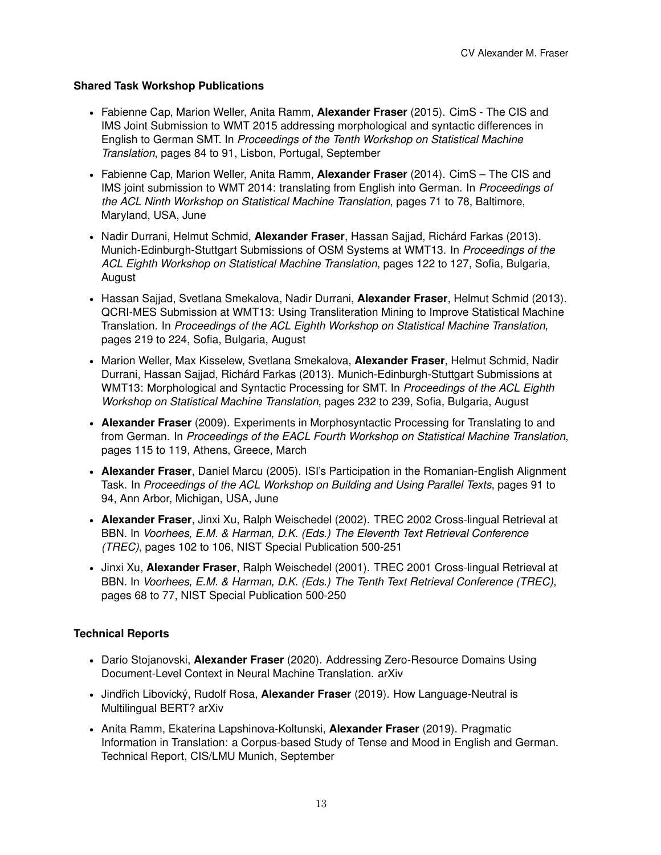# **Shared Task Workshop Publications**

- Fabienne Cap, Marion Weller, Anita Ramm, **Alexander Fraser** (2015). CimS The CIS and IMS Joint Submission to WMT 2015 addressing morphological and syntactic differences in English to German SMT. In *Proceedings of the Tenth Workshop on Statistical Machine Translation*, pages 84 to 91, Lisbon, Portugal, September
- Fabienne Cap, Marion Weller, Anita Ramm, **Alexander Fraser** (2014). CimS The CIS and IMS joint submission to WMT 2014: translating from English into German. In *Proceedings of the ACL Ninth Workshop on Statistical Machine Translation*, pages 71 to 78, Baltimore, Maryland, USA, June
- Nadir Durrani, Helmut Schmid, **Alexander Fraser**, Hassan Sajjad, Richárd Farkas (2013). Munich-Edinburgh-Stuttgart Submissions of OSM Systems at WMT13. In *Proceedings of the ACL Eighth Workshop on Statistical Machine Translation*, pages 122 to 127, Sofia, Bulgaria, August
- Hassan Sajjad, Svetlana Smekalova, Nadir Durrani, **Alexander Fraser**, Helmut Schmid (2013). QCRI-MES Submission at WMT13: Using Transliteration Mining to Improve Statistical Machine Translation. In *Proceedings of the ACL Eighth Workshop on Statistical Machine Translation*, pages 219 to 224, Sofia, Bulgaria, August
- Marion Weller, Max Kisselew, Svetlana Smekalova, **Alexander Fraser**, Helmut Schmid, Nadir Durrani, Hassan Sajjad, Richárd Farkas (2013). Munich-Edinburgh-Stuttgart Submissions at WMT13: Morphological and Syntactic Processing for SMT. In *Proceedings of the ACL Eighth Workshop on Statistical Machine Translation*, pages 232 to 239, Sofia, Bulgaria, August
- **Alexander Fraser** (2009). Experiments in Morphosyntactic Processing for Translating to and from German. In *Proceedings of the EACL Fourth Workshop on Statistical Machine Translation*, pages 115 to 119, Athens, Greece, March
- **Alexander Fraser**, Daniel Marcu (2005). ISI's Participation in the Romanian-English Alignment Task. In *Proceedings of the ACL Workshop on Building and Using Parallel Texts*, pages 91 to 94, Ann Arbor, Michigan, USA, June
- **Alexander Fraser**, Jinxi Xu, Ralph Weischedel (2002). TREC 2002 Cross-lingual Retrieval at BBN. In *Voorhees, E.M. & Harman, D.K. (Eds.) The Eleventh Text Retrieval Conference (TREC)*, pages 102 to 106, NIST Special Publication 500-251
- Jinxi Xu, **Alexander Fraser**, Ralph Weischedel (2001). TREC 2001 Cross-lingual Retrieval at BBN. In *Voorhees, E.M. & Harman, D.K. (Eds.) The Tenth Text Retrieval Conference (TREC)*, pages 68 to 77, NIST Special Publication 500-250

# **Technical Reports**

- Dario Stojanovski, **Alexander Fraser** (2020). Addressing Zero-Resource Domains Using Document-Level Context in Neural Machine Translation. arXiv
- Jindřich Libovický, Rudolf Rosa, Alexander Fraser (2019). How Language-Neutral is Multilingual BERT? arXiv
- Anita Ramm, Ekaterina Lapshinova-Koltunski, **Alexander Fraser** (2019). Pragmatic Information in Translation: a Corpus-based Study of Tense and Mood in English and German. Technical Report, CIS/LMU Munich, September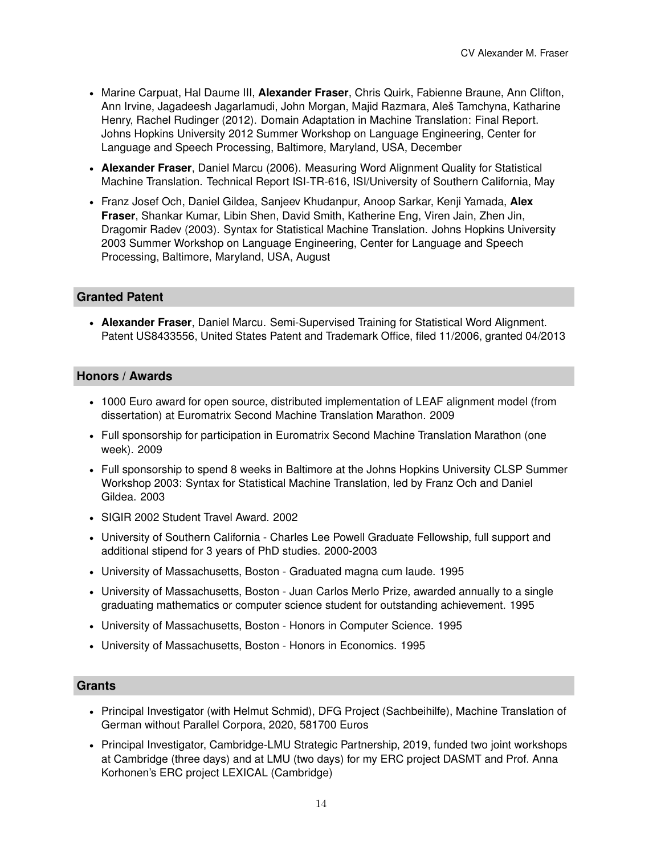- Marine Carpuat, Hal Daume III, **Alexander Fraser**, Chris Quirk, Fabienne Braune, Ann Clifton, Ann Irvine, Jagadeesh Jagarlamudi, John Morgan, Majid Razmara, Aleš Tamchyna, Katharine Henry, Rachel Rudinger (2012). Domain Adaptation in Machine Translation: Final Report. Johns Hopkins University 2012 Summer Workshop on Language Engineering, Center for Language and Speech Processing, Baltimore, Maryland, USA, December
- **Alexander Fraser**, Daniel Marcu (2006). Measuring Word Alignment Quality for Statistical Machine Translation. Technical Report ISI-TR-616, ISI/University of Southern California, May
- Franz Josef Och, Daniel Gildea, Sanjeev Khudanpur, Anoop Sarkar, Kenji Yamada, **Alex Fraser**, Shankar Kumar, Libin Shen, David Smith, Katherine Eng, Viren Jain, Zhen Jin, Dragomir Radev (2003). Syntax for Statistical Machine Translation. Johns Hopkins University 2003 Summer Workshop on Language Engineering, Center for Language and Speech Processing, Baltimore, Maryland, USA, August

# **Granted Patent**

• **Alexander Fraser**, Daniel Marcu. Semi-Supervised Training for Statistical Word Alignment. Patent US8433556, United States Patent and Trademark Office, filed 11/2006, granted 04/2013

#### **Honors / Awards**

- 1000 Euro award for open source, distributed implementation of LEAF alignment model (from dissertation) at Euromatrix Second Machine Translation Marathon. 2009
- Full sponsorship for participation in Euromatrix Second Machine Translation Marathon (one week). 2009
- Full sponsorship to spend 8 weeks in Baltimore at the Johns Hopkins University CLSP Summer Workshop 2003: Syntax for Statistical Machine Translation, led by Franz Och and Daniel Gildea. 2003
- SIGIR 2002 Student Travel Award. 2002
- University of Southern California Charles Lee Powell Graduate Fellowship, full support and additional stipend for 3 years of PhD studies. 2000-2003
- University of Massachusetts, Boston Graduated magna cum laude. 1995
- University of Massachusetts, Boston Juan Carlos Merlo Prize, awarded annually to a single graduating mathematics or computer science student for outstanding achievement. 1995
- University of Massachusetts, Boston Honors in Computer Science. 1995
- University of Massachusetts, Boston Honors in Economics. 1995

# **Grants**

- Principal Investigator (with Helmut Schmid), DFG Project (Sachbeihilfe), Machine Translation of German without Parallel Corpora, 2020, 581700 Euros
- Principal Investigator, Cambridge-LMU Strategic Partnership, 2019, funded two joint workshops at Cambridge (three days) and at LMU (two days) for my ERC project DASMT and Prof. Anna Korhonen's ERC project LEXICAL (Cambridge)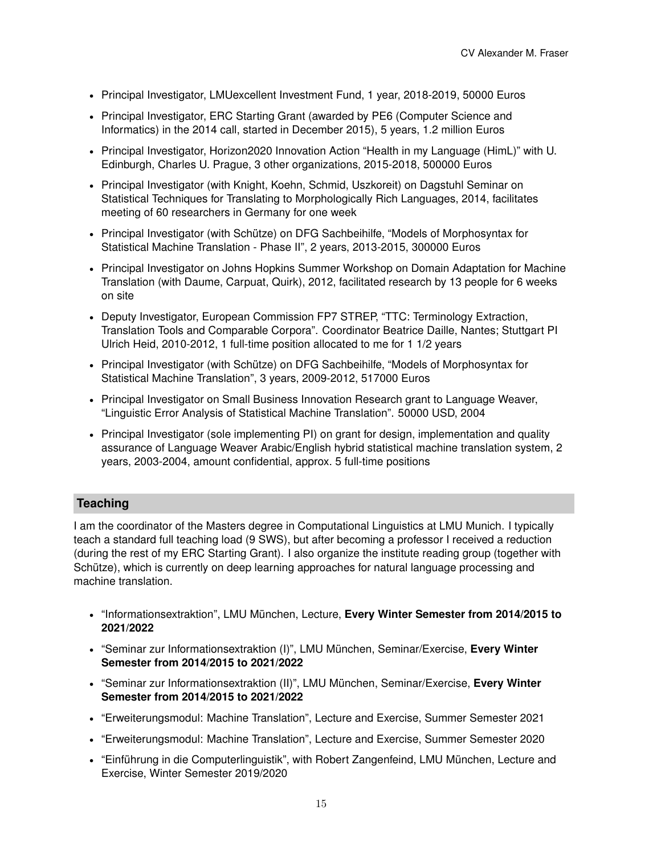- Principal Investigator, LMUexcellent Investment Fund, 1 year, 2018-2019, 50000 Euros
- Principal Investigator, ERC Starting Grant (awarded by PE6 (Computer Science and Informatics) in the 2014 call, started in December 2015), 5 years, 1.2 million Euros
- Principal Investigator, Horizon2020 Innovation Action "Health in my Language (HimL)" with U. Edinburgh, Charles U. Prague, 3 other organizations, 2015-2018, 500000 Euros
- Principal Investigator (with Knight, Koehn, Schmid, Uszkoreit) on Dagstuhl Seminar on Statistical Techniques for Translating to Morphologically Rich Languages, 2014, facilitates meeting of 60 researchers in Germany for one week
- Principal Investigator (with Schütze) on DFG Sachbeihilfe, "Models of Morphosyntax for Statistical Machine Translation - Phase II", 2 years, 2013-2015, 300000 Euros
- Principal Investigator on Johns Hopkins Summer Workshop on Domain Adaptation for Machine Translation (with Daume, Carpuat, Quirk), 2012, facilitated research by 13 people for 6 weeks on site
- Deputy Investigator, European Commission FP7 STREP, "TTC: Terminology Extraction, Translation Tools and Comparable Corpora". Coordinator Beatrice Daille, Nantes; Stuttgart PI Ulrich Heid, 2010-2012, 1 full-time position allocated to me for 1 1/2 years
- Principal Investigator (with Schütze) on DFG Sachbeihilfe, "Models of Morphosyntax for Statistical Machine Translation", 3 years, 2009-2012, 517000 Euros
- Principal Investigator on Small Business Innovation Research grant to Language Weaver, "Linguistic Error Analysis of Statistical Machine Translation". 50000 USD, 2004
- Principal Investigator (sole implementing PI) on grant for design, implementation and quality assurance of Language Weaver Arabic/English hybrid statistical machine translation system, 2 years, 2003-2004, amount confidential, approx. 5 full-time positions

# **Teaching**

I am the coordinator of the Masters degree in Computational Linguistics at LMU Munich. I typically teach a standard full teaching load (9 SWS), but after becoming a professor I received a reduction (during the rest of my ERC Starting Grant). I also organize the institute reading group (together with Schütze), which is currently on deep learning approaches for natural language processing and machine translation.

- "Informationsextraktion", LMU München, Lecture, **Every Winter Semester from 2014/2015 to 2021/2022**
- "Seminar zur Informationsextraktion (I)", LMU München, Seminar/Exercise, **Every Winter Semester from 2014/2015 to 2021/2022**
- "Seminar zur Informationsextraktion (II)", LMU München, Seminar/Exercise, **Every Winter Semester from 2014/2015 to 2021/2022**
- "Erweiterungsmodul: Machine Translation", Lecture and Exercise, Summer Semester 2021
- "Erweiterungsmodul: Machine Translation", Lecture and Exercise, Summer Semester 2020
- "Einführung in die Computerlinguistik", with Robert Zangenfeind, LMU München, Lecture and Exercise, Winter Semester 2019/2020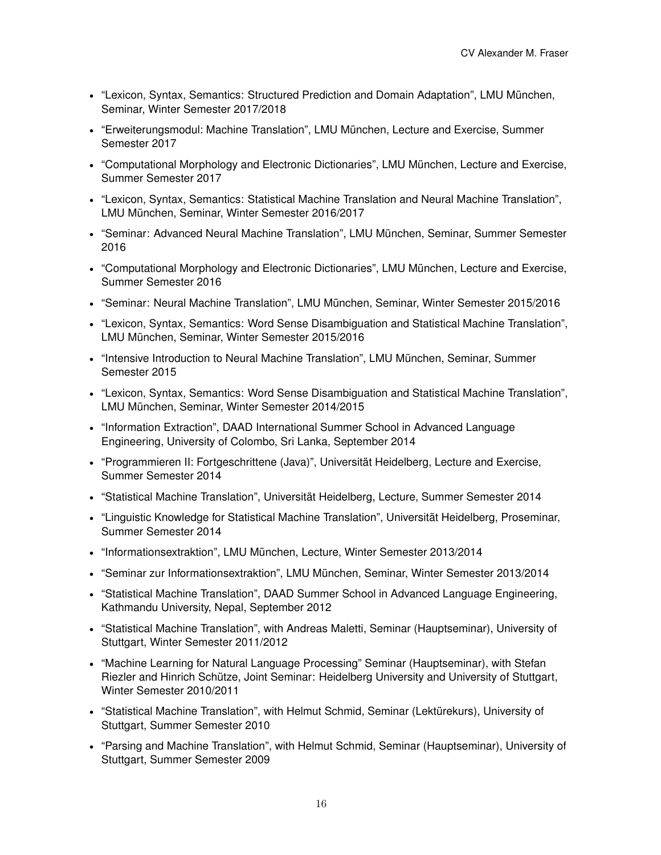- "Lexicon, Syntax, Semantics: Structured Prediction and Domain Adaptation", LMU München, Seminar, Winter Semester 2017/2018
- "Erweiterungsmodul: Machine Translation", LMU München, Lecture and Exercise, Summer Semester 2017
- "Computational Morphology and Electronic Dictionaries", LMU München, Lecture and Exercise, Summer Semester 2017
- "Lexicon, Syntax, Semantics: Statistical Machine Translation and Neural Machine Translation", LMU München, Seminar, Winter Semester 2016/2017
- "Seminar: Advanced Neural Machine Translation", LMU München, Seminar, Summer Semester 2016
- "Computational Morphology and Electronic Dictionaries", LMU München, Lecture and Exercise, Summer Semester 2016
- "Seminar: Neural Machine Translation", LMU München, Seminar, Winter Semester 2015/2016
- "Lexicon, Syntax, Semantics: Word Sense Disambiguation and Statistical Machine Translation", LMU München, Seminar, Winter Semester 2015/2016
- "Intensive Introduction to Neural Machine Translation", LMU München, Seminar, Summer Semester 2015
- "Lexicon, Syntax, Semantics: Word Sense Disambiguation and Statistical Machine Translation", LMU München, Seminar, Winter Semester 2014/2015
- "Information Extraction", DAAD International Summer School in Advanced Language Engineering, University of Colombo, Sri Lanka, September 2014
- "Programmieren II: Fortgeschrittene (Java)", Universität Heidelberg, Lecture and Exercise, Summer Semester 2014
- "Statistical Machine Translation", Universität Heidelberg, Lecture, Summer Semester 2014
- "Linguistic Knowledge for Statistical Machine Translation", Universität Heidelberg, Proseminar, Summer Semester 2014
- "Informationsextraktion", LMU München, Lecture, Winter Semester 2013/2014
- "Seminar zur Informationsextraktion", LMU München, Seminar, Winter Semester 2013/2014
- "Statistical Machine Translation", DAAD Summer School in Advanced Language Engineering, Kathmandu University, Nepal, September 2012
- "Statistical Machine Translation", with Andreas Maletti, Seminar (Hauptseminar), University of Stuttgart, Winter Semester 2011/2012
- "Machine Learning for Natural Language Processing" Seminar (Hauptseminar), with Stefan Riezler and Hinrich Schütze, Joint Seminar: Heidelberg University and University of Stuttgart, Winter Semester 2010/2011
- "Statistical Machine Translation", with Helmut Schmid, Seminar (Lektürekurs), University of Stuttgart, Summer Semester 2010
- "Parsing and Machine Translation", with Helmut Schmid, Seminar (Hauptseminar), University of Stuttgart, Summer Semester 2009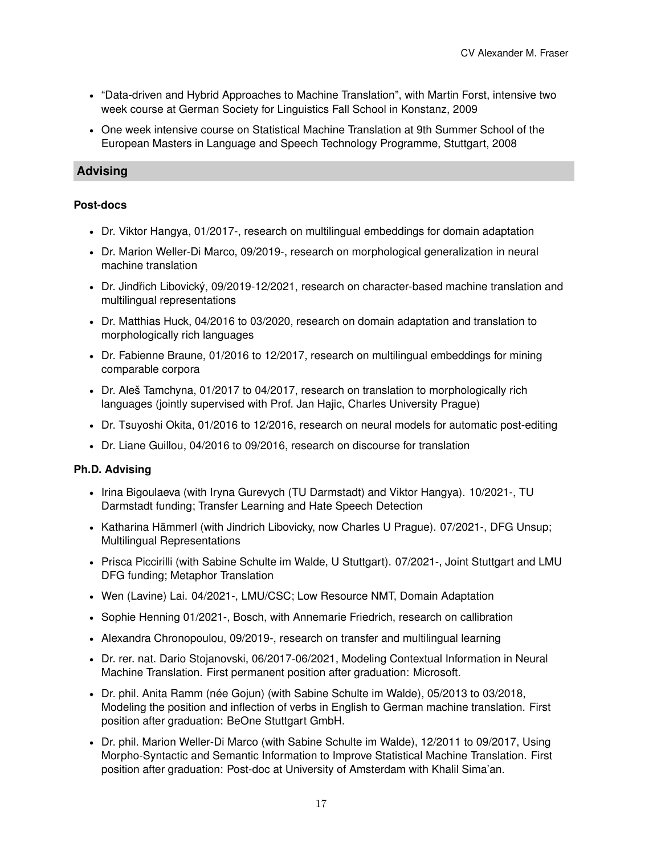- "Data-driven and Hybrid Approaches to Machine Translation", with Martin Forst, intensive two week course at German Society for Linguistics Fall School in Konstanz, 2009
- One week intensive course on Statistical Machine Translation at 9th Summer School of the European Masters in Language and Speech Technology Programme, Stuttgart, 2008

# **Advising**

### **Post-docs**

- Dr. Viktor Hangya, 01/2017-, research on multilingual embeddings for domain adaptation
- Dr. Marion Weller-Di Marco, 09/2019-, research on morphological generalization in neural machine translation
- Dr. Jindřich Libovický, 09/2019-12/2021, research on character-based machine translation and multilingual representations
- Dr. Matthias Huck, 04/2016 to 03/2020, research on domain adaptation and translation to morphologically rich languages
- Dr. Fabienne Braune, 01/2016 to 12/2017, research on multilingual embeddings for mining comparable corpora
- Dr. Aleš Tamchyna, 01/2017 to 04/2017, research on translation to morphologically rich languages (jointly supervised with Prof. Jan Hajic, Charles University Prague)
- Dr. Tsuyoshi Okita, 01/2016 to 12/2016, research on neural models for automatic post-editing
- Dr. Liane Guillou, 04/2016 to 09/2016, research on discourse for translation

# **Ph.D. Advising**

- Irina Bigoulaeva (with Iryna Gurevych (TU Darmstadt) and Viktor Hangya). 10/2021-, TU Darmstadt funding; Transfer Learning and Hate Speech Detection
- Katharina Hämmerl (with Jindrich Libovicky, now Charles U Prague). 07/2021-, DFG Unsup; Multilingual Representations
- Prisca Piccirilli (with Sabine Schulte im Walde, U Stuttgart). 07/2021-, Joint Stuttgart and LMU DFG funding; Metaphor Translation
- Wen (Lavine) Lai. 04/2021-, LMU/CSC; Low Resource NMT, Domain Adaptation
- Sophie Henning 01/2021-, Bosch, with Annemarie Friedrich, research on callibration
- Alexandra Chronopoulou, 09/2019-, research on transfer and multilingual learning
- Dr. rer. nat. Dario Stojanovski, 06/2017-06/2021, Modeling Contextual Information in Neural Machine Translation. First permanent position after graduation: Microsoft.
- Dr. phil. Anita Ramm (née Gojun) (with Sabine Schulte im Walde), 05/2013 to 03/2018, Modeling the position and inflection of verbs in English to German machine translation. First position after graduation: BeOne Stuttgart GmbH.
- Dr. phil. Marion Weller-Di Marco (with Sabine Schulte im Walde), 12/2011 to 09/2017, Using Morpho-Syntactic and Semantic Information to Improve Statistical Machine Translation. First position after graduation: Post-doc at University of Amsterdam with Khalil Sima'an.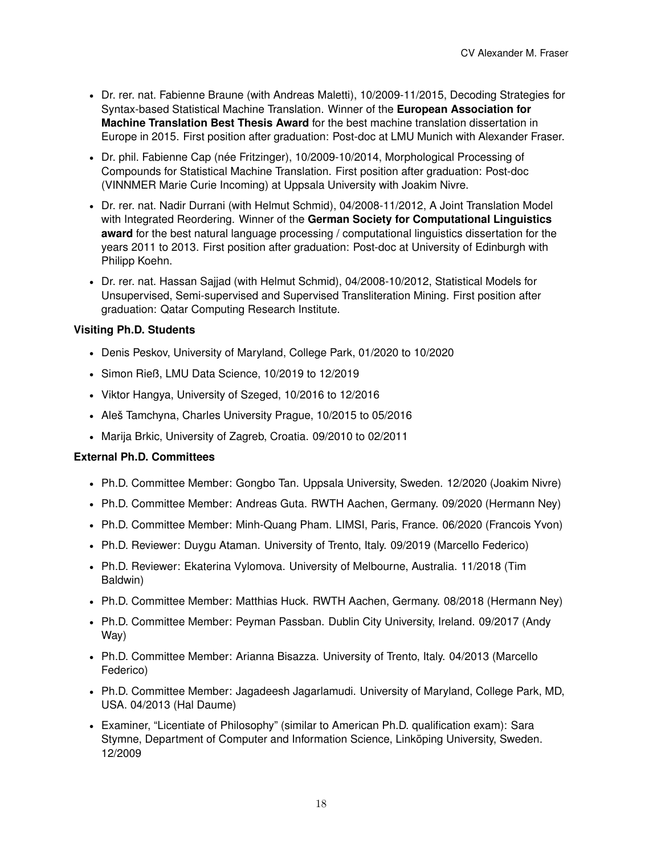- Dr. rer. nat. Fabienne Braune (with Andreas Maletti), 10/2009-11/2015, Decoding Strategies for Syntax-based Statistical Machine Translation. Winner of the **European Association for Machine Translation Best Thesis Award** for the best machine translation dissertation in Europe in 2015. First position after graduation: Post-doc at LMU Munich with Alexander Fraser.
- Dr. phil. Fabienne Cap (née Fritzinger), 10/2009-10/2014, Morphological Processing of Compounds for Statistical Machine Translation. First position after graduation: Post-doc (VINNMER Marie Curie Incoming) at Uppsala University with Joakim Nivre.
- Dr. rer. nat. Nadir Durrani (with Helmut Schmid), 04/2008-11/2012, A Joint Translation Model with Integrated Reordering. Winner of the **German Society for Computational Linguistics award** for the best natural language processing / computational linguistics dissertation for the years 2011 to 2013. First position after graduation: Post-doc at University of Edinburgh with Philipp Koehn.
- Dr. rer. nat. Hassan Sajjad (with Helmut Schmid), 04/2008-10/2012, Statistical Models for Unsupervised, Semi-supervised and Supervised Transliteration Mining. First position after graduation: Qatar Computing Research Institute.

# **Visiting Ph.D. Students**

- Denis Peskov, University of Maryland, College Park, 01/2020 to 10/2020
- Simon Rieß, LMU Data Science, 10/2019 to 12/2019
- Viktor Hangya, University of Szeged, 10/2016 to 12/2016
- Aleš Tamchyna, Charles University Prague, 10/2015 to 05/2016
- Marija Brkic, University of Zagreb, Croatia. 09/2010 to 02/2011

# **External Ph.D. Committees**

- Ph.D. Committee Member: Gongbo Tan. Uppsala University, Sweden. 12/2020 (Joakim Nivre)
- Ph.D. Committee Member: Andreas Guta. RWTH Aachen, Germany. 09/2020 (Hermann Ney)
- Ph.D. Committee Member: Minh-Quang Pham. LIMSI, Paris, France. 06/2020 (Francois Yvon)
- Ph.D. Reviewer: Duygu Ataman. University of Trento, Italy. 09/2019 (Marcello Federico)
- Ph.D. Reviewer: Ekaterina Vylomova. University of Melbourne, Australia. 11/2018 (Tim Baldwin)
- Ph.D. Committee Member: Matthias Huck. RWTH Aachen, Germany. 08/2018 (Hermann Ney)
- Ph.D. Committee Member: Peyman Passban. Dublin City University, Ireland. 09/2017 (Andy Way)
- Ph.D. Committee Member: Arianna Bisazza. University of Trento, Italy. 04/2013 (Marcello Federico)
- Ph.D. Committee Member: Jagadeesh Jagarlamudi. University of Maryland, College Park, MD, USA. 04/2013 (Hal Daume)
- Examiner, "Licentiate of Philosophy" (similar to American Ph.D. qualification exam): Sara Stymne, Department of Computer and Information Science, Linköping University, Sweden. 12/2009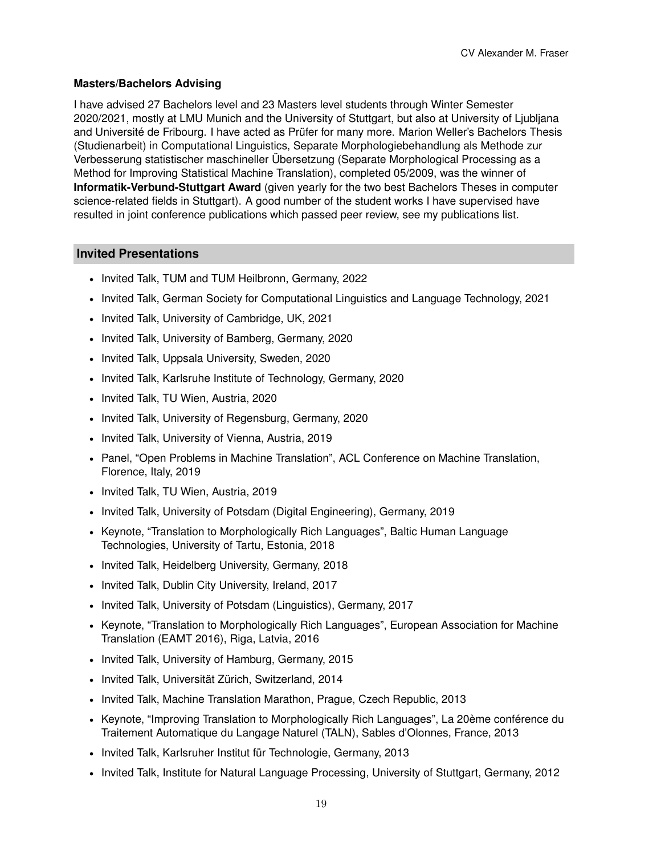# **Masters/Bachelors Advising**

I have advised 27 Bachelors level and 23 Masters level students through Winter Semester 2020/2021, mostly at LMU Munich and the University of Stuttgart, but also at University of Ljubljana and Université de Fribourg. I have acted as Prüfer for many more. Marion Weller's Bachelors Thesis (Studienarbeit) in Computational Linguistics, Separate Morphologiebehandlung als Methode zur Verbesserung statistischer maschineller Übersetzung (Separate Morphological Processing as a Method for Improving Statistical Machine Translation), completed 05/2009, was the winner of **Informatik-Verbund-Stuttgart Award** (given yearly for the two best Bachelors Theses in computer science-related fields in Stuttgart). A good number of the student works I have supervised have resulted in joint conference publications which passed peer review, see my publications list.

# **Invited Presentations**

- Invited Talk, TUM and TUM Heilbronn, Germany, 2022
- Invited Talk, German Society for Computational Linguistics and Language Technology, 2021
- Invited Talk, University of Cambridge, UK, 2021
- Invited Talk, University of Bamberg, Germany, 2020
- Invited Talk, Uppsala University, Sweden, 2020
- Invited Talk, Karlsruhe Institute of Technology, Germany, 2020
- Invited Talk, TU Wien, Austria, 2020
- Invited Talk, University of Regensburg, Germany, 2020
- Invited Talk, University of Vienna, Austria, 2019
- Panel, "Open Problems in Machine Translation", ACL Conference on Machine Translation, Florence, Italy, 2019
- Invited Talk, TU Wien, Austria, 2019
- Invited Talk, University of Potsdam (Digital Engineering), Germany, 2019
- Keynote, "Translation to Morphologically Rich Languages", Baltic Human Language Technologies, University of Tartu, Estonia, 2018
- Invited Talk, Heidelberg University, Germany, 2018
- Invited Talk, Dublin City University, Ireland, 2017
- Invited Talk, University of Potsdam (Linguistics), Germany, 2017
- Keynote, "Translation to Morphologically Rich Languages", European Association for Machine Translation (EAMT 2016), Riga, Latvia, 2016
- Invited Talk, University of Hamburg, Germany, 2015
- Invited Talk, Universität Zürich, Switzerland, 2014
- Invited Talk, Machine Translation Marathon, Prague, Czech Republic, 2013
- Keynote, "Improving Translation to Morphologically Rich Languages", La 20ème conférence du Traitement Automatique du Langage Naturel (TALN), Sables d'Olonnes, France, 2013
- Invited Talk, Karlsruher Institut für Technologie, Germany, 2013
- Invited Talk, Institute for Natural Language Processing, University of Stuttgart, Germany, 2012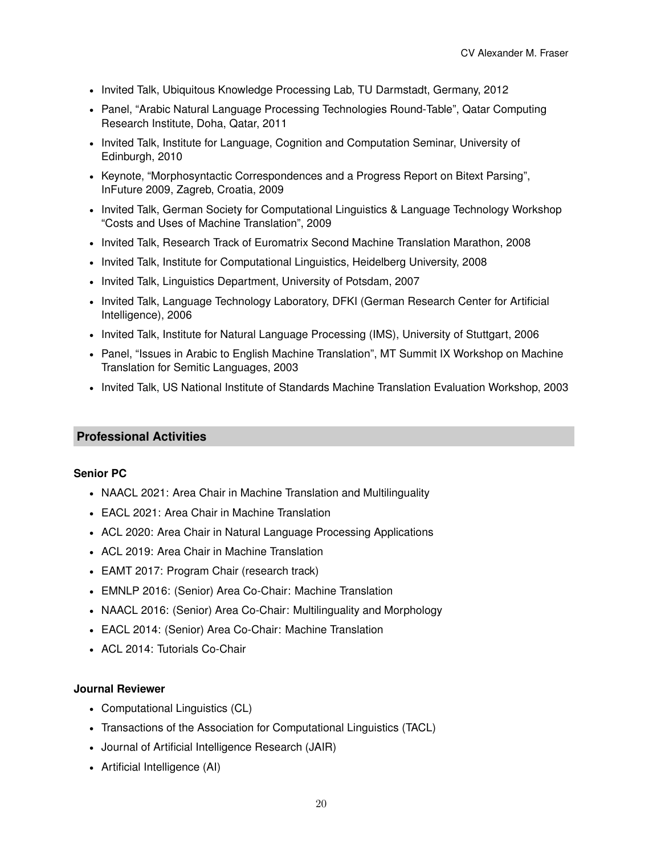- Invited Talk, Ubiquitous Knowledge Processing Lab, TU Darmstadt, Germany, 2012
- Panel, "Arabic Natural Language Processing Technologies Round-Table", Qatar Computing Research Institute, Doha, Qatar, 2011
- Invited Talk, Institute for Language, Cognition and Computation Seminar, University of Edinburgh, 2010
- Keynote, "Morphosyntactic Correspondences and a Progress Report on Bitext Parsing", InFuture 2009, Zagreb, Croatia, 2009
- Invited Talk, German Society for Computational Linguistics & Language Technology Workshop "Costs and Uses of Machine Translation", 2009
- Invited Talk, Research Track of Euromatrix Second Machine Translation Marathon, 2008
- Invited Talk, Institute for Computational Linguistics, Heidelberg University, 2008
- Invited Talk, Linguistics Department, University of Potsdam, 2007
- Invited Talk, Language Technology Laboratory, DFKI (German Research Center for Artificial Intelligence), 2006
- Invited Talk, Institute for Natural Language Processing (IMS), University of Stuttgart, 2006
- Panel, "Issues in Arabic to English Machine Translation", MT Summit IX Workshop on Machine Translation for Semitic Languages, 2003
- Invited Talk, US National Institute of Standards Machine Translation Evaluation Workshop, 2003

# **Professional Activities**

#### **Senior PC**

- NAACL 2021: Area Chair in Machine Translation and Multilinguality
- EACL 2021: Area Chair in Machine Translation
- ACL 2020: Area Chair in Natural Language Processing Applications
- ACL 2019: Area Chair in Machine Translation
- EAMT 2017: Program Chair (research track)
- EMNLP 2016: (Senior) Area Co-Chair: Machine Translation
- NAACL 2016: (Senior) Area Co-Chair: Multilinguality and Morphology
- EACL 2014: (Senior) Area Co-Chair: Machine Translation
- ACL 2014: Tutorials Co-Chair

# **Journal Reviewer**

- Computational Linguistics (CL)
- Transactions of the Association for Computational Linguistics (TACL)
- Journal of Artificial Intelligence Research (JAIR)
- Artificial Intelligence (AI)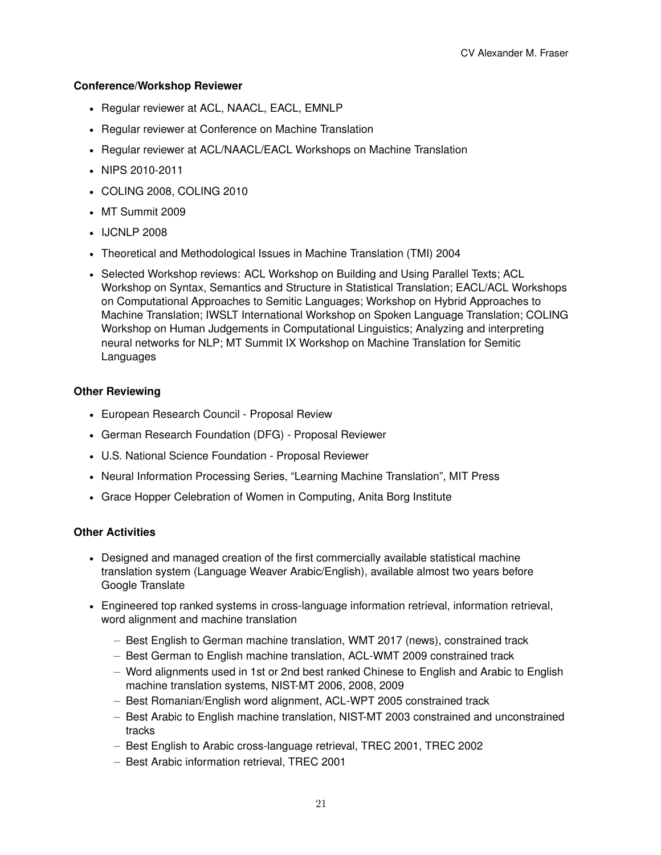### **Conference/Workshop Reviewer**

- Regular reviewer at ACL, NAACL, EACL, EMNLP
- Regular reviewer at Conference on Machine Translation
- Regular reviewer at ACL/NAACL/EACL Workshops on Machine Translation
- NIPS 2010-2011
- COLING 2008, COLING 2010
- MT Summit 2009
- IJCNLP 2008
- Theoretical and Methodological Issues in Machine Translation (TMI) 2004
- Selected Workshop reviews: ACL Workshop on Building and Using Parallel Texts; ACL Workshop on Syntax, Semantics and Structure in Statistical Translation; EACL/ACL Workshops on Computational Approaches to Semitic Languages; Workshop on Hybrid Approaches to Machine Translation; IWSLT International Workshop on Spoken Language Translation; COLING Workshop on Human Judgements in Computational Linguistics; Analyzing and interpreting neural networks for NLP; MT Summit IX Workshop on Machine Translation for Semitic Languages

#### **Other Reviewing**

- European Research Council Proposal Review
- German Research Foundation (DFG) Proposal Reviewer
- U.S. National Science Foundation Proposal Reviewer
- Neural Information Processing Series, "Learning Machine Translation", MIT Press
- Grace Hopper Celebration of Women in Computing, Anita Borg Institute

# **Other Activities**

- Designed and managed creation of the first commercially available statistical machine translation system (Language Weaver Arabic/English), available almost two years before Google Translate
- Engineered top ranked systems in cross-language information retrieval, information retrieval, word alignment and machine translation
	- **–** Best English to German machine translation, WMT 2017 (news), constrained track
	- **–** Best German to English machine translation, ACL-WMT 2009 constrained track
	- **–** Word alignments used in 1st or 2nd best ranked Chinese to English and Arabic to English machine translation systems, NIST-MT 2006, 2008, 2009
	- **–** Best Romanian/English word alignment, ACL-WPT 2005 constrained track
	- **–** Best Arabic to English machine translation, NIST-MT 2003 constrained and unconstrained tracks
	- **–** Best English to Arabic cross-language retrieval, TREC 2001, TREC 2002
	- **–** Best Arabic information retrieval, TREC 2001